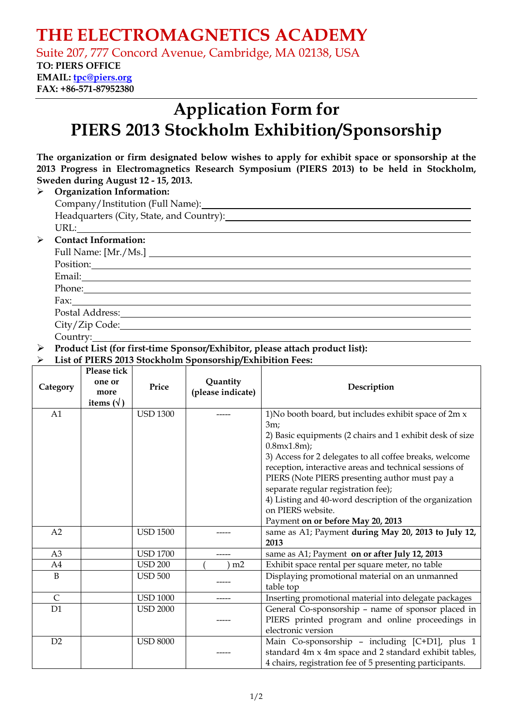# **THE ELECTROMAGNETICS ACADEMY**

Suite 207, 777 Concord Avenue, Cambridge, MA 02138, USA

### **TO: PIERS OFFICE EMAIL: tpc@piers.org**

**FAX: +86-571-87952380** 

# **Application Form for PIERS 2013 Stockholm Exhibition/Sponsorship**

|  | The organization or firm designated below wishes to apply for exhibit space or sponsorship at the |  |  |  |  |  |
|--|---------------------------------------------------------------------------------------------------|--|--|--|--|--|
|  | 2013 Progress in Electromagnetics Research Symposium (PIERS 2013) to be held in Stockholm,        |  |  |  |  |  |
|  | Sweden during August 12 - 15, 2013.                                                               |  |  |  |  |  |

| <b>Organization Information:</b>         |  |  |  |  |  |
|------------------------------------------|--|--|--|--|--|
|                                          |  |  |  |  |  |
| Headquarters (City, State, and Country): |  |  |  |  |  |
|                                          |  |  |  |  |  |
| <b>Contact Information:</b>              |  |  |  |  |  |
| Full Name: [Mr./Ms.]                     |  |  |  |  |  |
| Position:                                |  |  |  |  |  |
| Email:                                   |  |  |  |  |  |
| Phone:                                   |  |  |  |  |  |

Fax: Postal Address:

City/Zip Code:

Country:

¾ **Product List (for first-time Sponsor/Exhibitor, please attach product list):**

#### ¾ **List of PIERS 2013 Stockholm Sponsorship/Exhibition Fees:**

| Category       | Please tick<br>one or<br>more<br>items $(\forall)$ | Price           | Quantity<br>(please indicate) | Description                                                                                                                                                                                                                                                                                                                    |  |  |  |  |
|----------------|----------------------------------------------------|-----------------|-------------------------------|--------------------------------------------------------------------------------------------------------------------------------------------------------------------------------------------------------------------------------------------------------------------------------------------------------------------------------|--|--|--|--|
| A1             |                                                    | <b>USD 1300</b> |                               | 1) No booth board, but includes exhibit space of 2m x<br>3m;<br>2) Basic equipments (2 chairs and 1 exhibit desk of size<br>$0.8$ m $\times$ 1.8m);                                                                                                                                                                            |  |  |  |  |
|                |                                                    |                 |                               | 3) Access for 2 delegates to all coffee breaks, welcome<br>reception, interactive areas and technical sessions of<br>PIERS (Note PIERS presenting author must pay a<br>separate regular registration fee);<br>4) Listing and 40-word description of the organization<br>on PIERS website.<br>Payment on or before May 20, 2013 |  |  |  |  |
| A2             |                                                    | <b>USD 1500</b> |                               | same as A1; Payment during May 20, 2013 to July 12,<br>2013                                                                                                                                                                                                                                                                    |  |  |  |  |
| A <sub>3</sub> |                                                    | <b>USD 1700</b> |                               | same as A1; Payment on or after July 12, 2013                                                                                                                                                                                                                                                                                  |  |  |  |  |
| A4             |                                                    | <b>USD 200</b>  | m2                            | Exhibit space rental per square meter, no table                                                                                                                                                                                                                                                                                |  |  |  |  |
| B              |                                                    | <b>USD 500</b>  |                               | Displaying promotional material on an unmanned<br>table top                                                                                                                                                                                                                                                                    |  |  |  |  |
| $\mathsf{C}$   |                                                    | <b>USD 1000</b> |                               | Inserting promotional material into delegate packages                                                                                                                                                                                                                                                                          |  |  |  |  |
| D1             |                                                    | <b>USD 2000</b> |                               | General Co-sponsorship - name of sponsor placed in<br>PIERS printed program and online proceedings in<br>electronic version                                                                                                                                                                                                    |  |  |  |  |
| D2             |                                                    | <b>USD 8000</b> |                               | Main Co-sponsorship - including [C+D1], plus 1<br>standard 4m x 4m space and 2 standard exhibit tables,<br>4 chairs, registration fee of 5 presenting participants.                                                                                                                                                            |  |  |  |  |